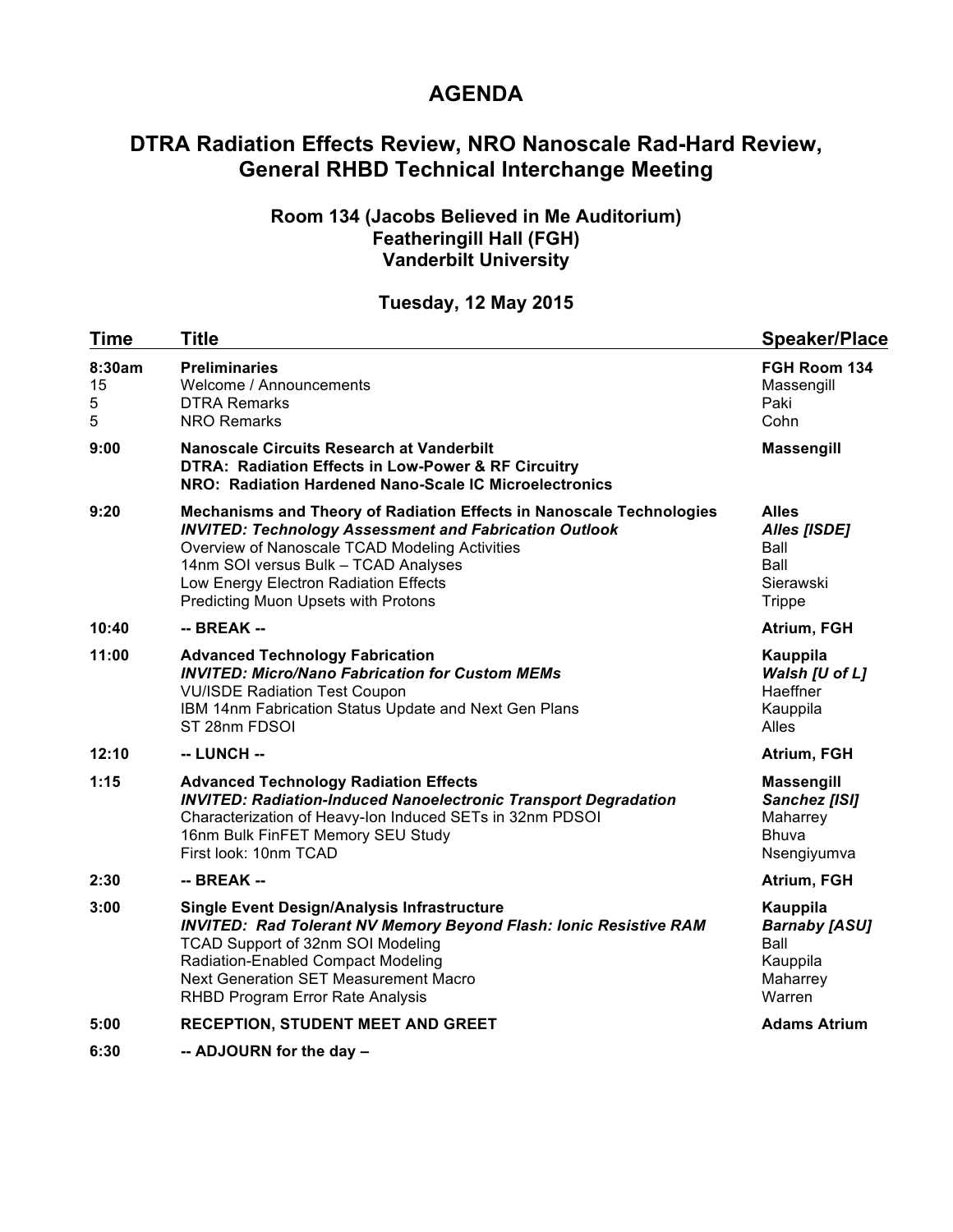# **AGENDA**

# **DTRA Radiation Effects Review, NRO Nanoscale Rad-Hard Review, General RHBD Technical Interchange Meeting**

#### **Room 134 (Jacobs Believed in Me Auditorium) Featheringill Hall (FGH) Vanderbilt University**

### **Tuesday, 12 May 2015**

| <b>Time</b>            | <b>Title</b>                                                                                                                                                                                                                                                                                                    | <b>Speaker/Place</b>                                                              |
|------------------------|-----------------------------------------------------------------------------------------------------------------------------------------------------------------------------------------------------------------------------------------------------------------------------------------------------------------|-----------------------------------------------------------------------------------|
| 8:30am<br>15<br>5<br>5 | <b>Preliminaries</b><br>Welcome / Announcements<br><b>DTRA Remarks</b><br><b>NRO Remarks</b>                                                                                                                                                                                                                    | FGH Room 134<br>Massengill<br>Paki<br>Cohn                                        |
| 9:00                   | <b>Nanoscale Circuits Research at Vanderbilt</b><br>DTRA: Radiation Effects in Low-Power & RF Circuitry<br>NRO: Radiation Hardened Nano-Scale IC Microelectronics                                                                                                                                               | <b>Massengill</b>                                                                 |
| 9:20                   | Mechanisms and Theory of Radiation Effects in Nanoscale Technologies<br><b>INVITED: Technology Assessment and Fabrication Outlook</b><br>Overview of Nanoscale TCAD Modeling Activities<br>14nm SOI versus Bulk - TCAD Analyses<br>Low Energy Electron Radiation Effects<br>Predicting Muon Upsets with Protons | <b>Alles</b><br><b>Alles [ISDE]</b><br>Ball<br>Ball<br>Sierawski<br><b>Trippe</b> |
| 10:40                  | -- BREAK --                                                                                                                                                                                                                                                                                                     | Atrium, FGH                                                                       |
| 11:00                  | <b>Advanced Technology Fabrication</b><br><b>INVITED: Micro/Nano Fabrication for Custom MEMs</b><br><b>VU/ISDE Radiation Test Coupon</b><br>IBM 14nm Fabrication Status Update and Next Gen Plans<br>ST 28nm FDSOI                                                                                              | Kauppila<br>Walsh [U of L]<br>Haeffner<br>Kauppila<br>Alles                       |
| 12:10                  | -- LUNCH --                                                                                                                                                                                                                                                                                                     | Atrium, FGH                                                                       |
| 1:15                   | <b>Advanced Technology Radiation Effects</b><br><b>INVITED: Radiation-Induced Nanoelectronic Transport Degradation</b><br>Characterization of Heavy-Ion Induced SETs in 32nm PDSOI<br>16nm Bulk FinFET Memory SEU Study<br>First look: 10nm TCAD                                                                | <b>Massengill</b><br>Sanchez [ISI]<br>Maharrey<br><b>Bhuva</b><br>Nsengiyumva     |
| 2:30                   | -- BREAK --                                                                                                                                                                                                                                                                                                     | Atrium, FGH                                                                       |
| 3:00                   | <b>Single Event Design/Analysis Infrastructure</b><br><b>INVITED: Rad Tolerant NV Memory Beyond Flash: Ionic Resistive RAM</b><br>TCAD Support of 32nm SOI Modeling<br><b>Radiation-Enabled Compact Modeling</b><br>Next Generation SET Measurement Macro<br>RHBD Program Error Rate Analysis                   | Kauppila<br><b>Barnaby [ASU]</b><br>Ball<br>Kauppila<br>Maharrey<br>Warren        |
| 5:00                   | <b>RECEPTION, STUDENT MEET AND GREET</b>                                                                                                                                                                                                                                                                        | <b>Adams Atrium</b>                                                               |
| 6:30                   | -- ADJOURN for the day -                                                                                                                                                                                                                                                                                        |                                                                                   |